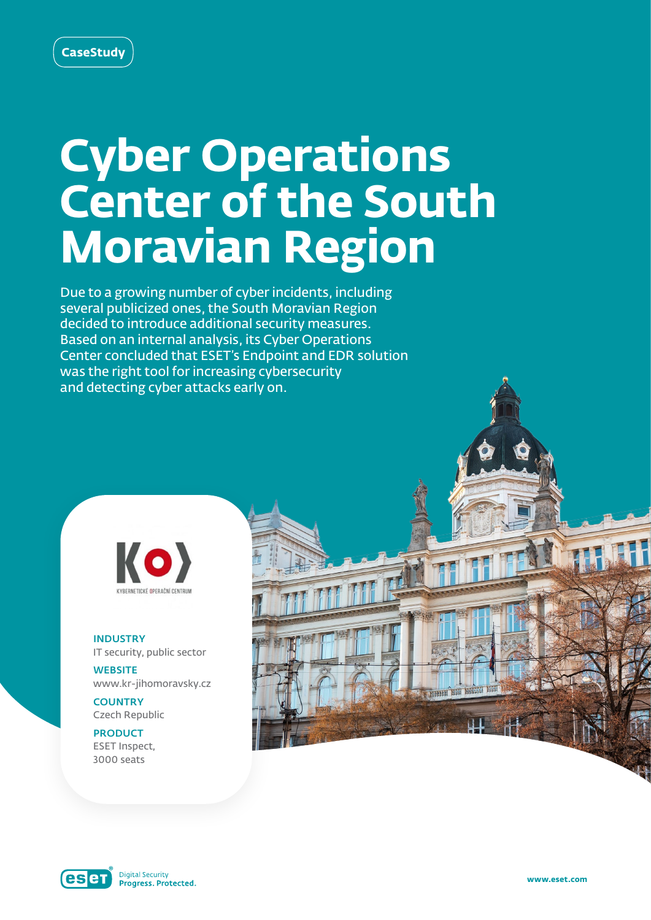# **Cyber Operations Center of the South Moravian Region**

Due to a growing number of cyber incidents, including several publicized ones, the South Moravian Region decided to introduce additional security measures. Based on an internal analysis, its Cyber Operations Center concluded that ESET's Endpoint and EDR solution was the right tool for increasing cybersecurity and detecting cyber attacks early on.



INDUSTRY IT security, public sector

**WEBSITE** www.kr-jihomoravsky.cz

**COUNTRY** Czech Republic

PRODUCT ESET Inspect, 3000 seats



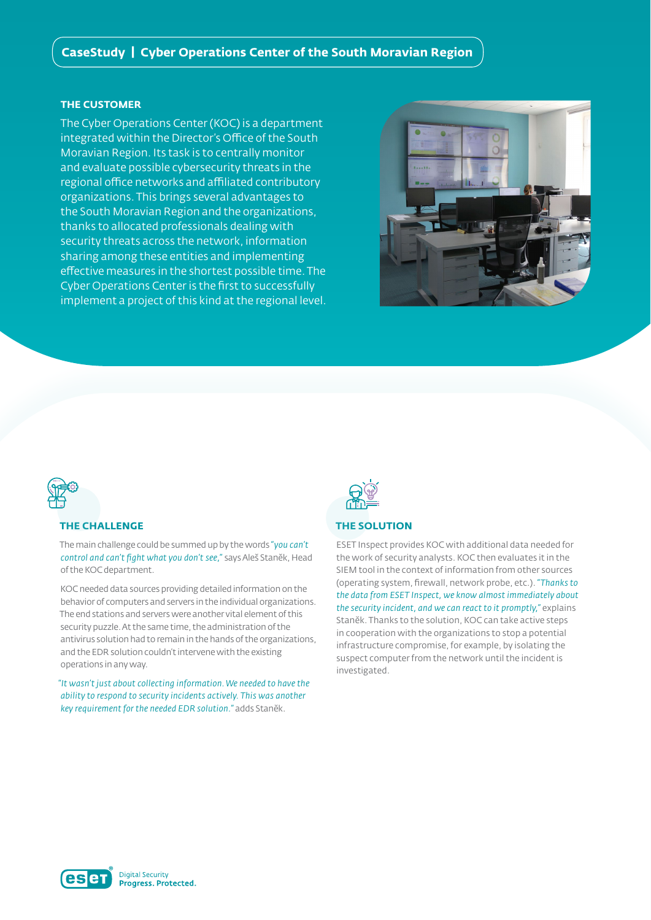# **CaseStudy | Cyber Operations Center of the South Moravian Region**

### **THE CUSTOMER**

The Cyber Operations Center (KOC) is a department integrated within the Director's Office of the South Moravian Region. Its task is to centrally monitor and evaluate possible cybersecurity threats in the regional office networks and affiliated contributory organizations. This brings several advantages to the South Moravian Region and the organizations, thanks to allocated professionals dealing with security threats across the network, information sharing among these entities and implementing effective measures in the shortest possible time. The Cyber Operations Center is the first to successfully implement a project of this kind at the regional level.



# **THE CHALLENGE**

The main challenge could be summed up by the words *"you can't control and can't fight what you don't see,"* says Aleš Staněk, Head of the KOC department.

KOC needed data sources providing detailed information on the behavior of computers and servers in the individual organizations. The end stations and servers were another vital element of this security puzzle. At the same time, the administration of the antivirus solution had to remain in the hands of the organizations, and the EDR solution couldn't intervene with the existing operations in any way.

*"It wasn't just about collecting information. We needed to have the ability to respond to security incidents actively. This was another key requirement for the needed EDR solution."* adds Staněk.



# **THE SOLUTION**

ESET Inspect provides KOC with additional data needed for the work of security analysts. KOC then evaluates it in the SIEM tool in the context of information from other sources (operating system, firewall, network probe, etc.). *"Thanks to the data from ESET Inspect, we know almost immediately about the security incident, and we can react to it promptly,"* explains Staněk. Thanks to the solution, KOC can take active steps in cooperation with the organizations to stop a potential infrastructure compromise, for example, by isolating the suspect computer from the network until the incident is investigated.